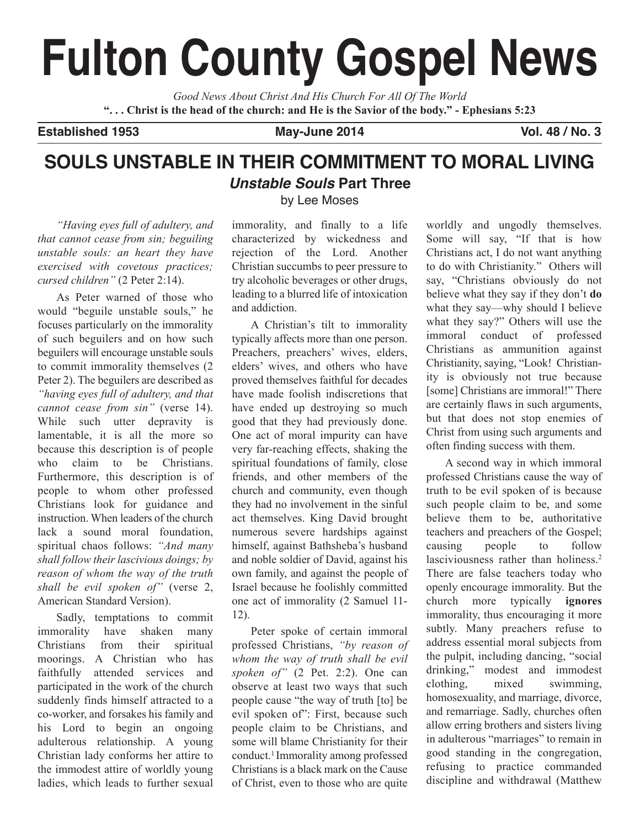# **Fulton County Gospel News**

*Good News About Christ And His Church For All Of The World* "... Christ is the head of the church: and He is the Savior of the body." - Ephesians 5:23

**Established 1953 May-June 2014 Vol. 48 / No. 3**

## **SOULS UNSTABLE IN THEIR COMMITMENT TO MORAL LIVING Unstable Souls Part Three**

by Lee Moses

*"Having eyes full of adultery, and that cannot cease from sin; beguiling unstable souls: an heart they have exercised with covetous practices; cursed children"* (2 Peter 2:14).

As Peter warned of those who would "beguile unstable souls," he focuses particularly on the immorality of such beguilers and on how such beguilers will encourage unstable souls to commit immorality themselves (2 Peter 2). The beguilers are described as *"having eyes full of adultery, and that cannot cease from sin"* (verse 14). While such utter depravity is lamentable, it is all the more so because this description is of people who claim to be Christians. Furthermore, this description is of people to whom other professed Christians look for guidance and instruction. When leaders of the church lack a sound moral foundation, spiritual chaos follows: *"And many shall follow their lascivious doings; by reason of whom the way of the truth shall be evil spoken of"* (verse 2, American Standard Version).

Sadly, temptations to commit immorality have shaken many Christians from their spiritual moorings. A Christian who has faithfully attended services and participated in the work of the church suddenly finds himself attracted to a co-worker, and forsakes his family and his Lord to begin an ongoing adulterous relationship. A young Christian lady conforms her attire to the immodest attire of worldly young ladies, which leads to further sexual

immorality, and finally to a life characterized by wickedness and rejection of the Lord. Another Christian succumbs to peer pressure to try alcoholic beverages or other drugs, leading to a blurred life of intoxication and addiction.

A Christian's tilt to immorality typically affects more than one person. Preachers, preachers' wives, elders, elders' wives, and others who have proved themselves faithful for decades have made foolish indiscretions that have ended up destroying so much good that they had previously done. One act of moral impurity can have very far-reaching effects, shaking the spiritual foundations of family, close friends, and other members of the church and community, even though they had no involvement in the sinful act themselves. King David brought numerous severe hardships against himself, against Bathsheba's husband and noble soldier of David, against his own family, and against the people of Israel because he foolishly committed one act of immorality (2 Samuel 11- 12).

Peter spoke of certain immoral professed Christians, *"by reason of whom the way of truth shall be evil spoken of"* (2 Pet. 2:2). One can observe at least two ways that such people cause "the way of truth [to] be evil spoken of": First, because such people claim to be Christians, and some will blame Christianity for their conduct. <sup>1</sup> Immorality among professed Christians is a black mark on the Cause of Christ, even to those who are quite

worldly and ungodly themselves. Some will say, "If that is how Christians act, I do not want anything to do with Christianity." Others will say, "Christians obviously do not believe what they say if they don't **do** what they say—why should I believe what they say?" Others will use the immoral conduct of professed Christians as ammunition against Christianity, saying, "Look! Christianity is obviously not true because [some] Christians are immoral!" There are certainly flaws in such arguments, but that does not stop enemies of Christ from using such arguments and often finding success with them.

A second way in which immoral professed Christians cause the way of truth to be evil spoken of is because such people claim to be, and some believe them to be, authoritative teachers and preachers of the Gospel; causing people to follow lasciviousness rather than holiness. 2 There are false teachers today who openly encourage immorality. But the church more typically **ignores** immorality, thus encouraging it more subtly. Many preachers refuse to address essential moral subjects from the pulpit, including dancing, "social drinking," modest and immodest clothing, mixed swimming, homosexuality, and marriage, divorce, and remarriage. Sadly, churches often allow erring brothers and sisters living in adulterous "marriages" to remain in good standing in the congregation, refusing to practice commanded discipline and withdrawal (Matthew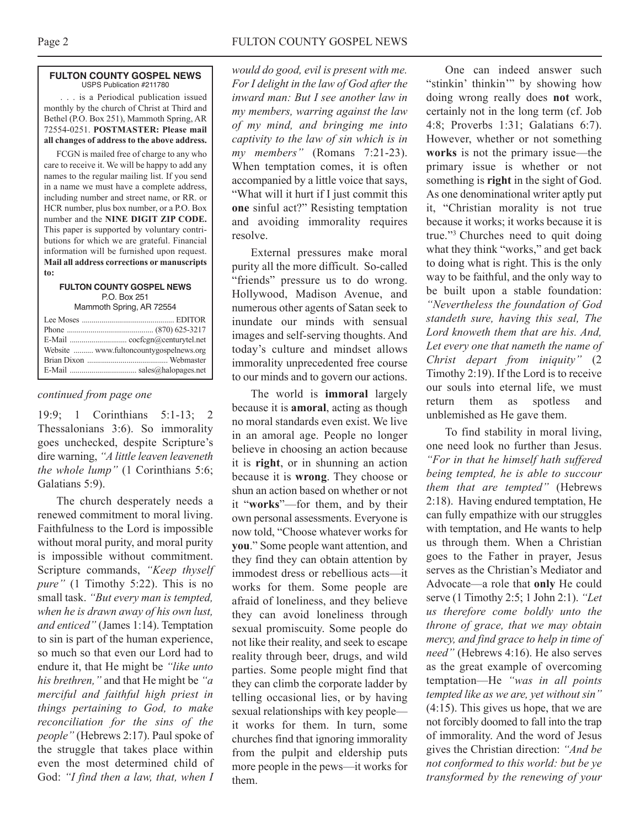#### **FULTON COUNTY GOSPEL NEWS** USPS Publication #211780

. . . is a Periodical publication issued monthly by the church of Christ at Third and Bethel (P.O. Box 251), Mammoth Spring, AR 72554-0251. **POSTMASTER: Please mail all changes of address to the above address.**

FCGN is mailed free of charge to any who care to receive it. We will be happy to add any names to the regular mailing list. If you send in a name we must have a complete address, including number and street name, or RR. or HCR number, plus box number, or a P.O. Box number and the **NINE DIGIT ZIP CODE.** This paper is supported by voluntary contributions for which we are grateful. Financial information will be furnished upon request. **Mail all address corrections or manuscripts to:**

#### **FULTON COUNTY GOSPEL NEWS** P.O. Box 251 Mammoth Spring, AR 72554

| Website  www.fultoncountygospelnews.org |  |
|-----------------------------------------|--|
|                                         |  |
|                                         |  |

#### *continued from page one*

19:9; 1 Corinthians 5:1-13; 2 Thessalonians 3:6). So immorality goes unchecked, despite Scripture's dire warning, *"A little leaven leaveneth the whole lump"* (1 Corinthians 5:6; Galatians 5:9).

The church desperately needs a renewed commitment to moral living. Faithfulness to the Lord is impossible without moral purity, and moral purity is impossible without commitment. Scripture commands, *"Keep thyself pure"* (1 Timothy 5:22). This is no small task. *"But every man is tempted, when he is drawn away of his own lust, and enticed"* (James 1:14). Temptation to sin is part of the human experience, so much so that even our Lord had to endure it, that He might be *"like unto his brethren,"* and that He might be *"a merciful and faithful high priest in things pertaining to God, to make reconciliation for the sins of the people"* (Hebrews 2:17). Paul spoke of the struggle that takes place within even the most determined child of God: *"I find then a law, that, when I*

*would do good, evil is present with me. For I delight in the law of God after the inward man: But I see another law in my members, warring against the law of my mind, and bringing me into captivity to the law of sin which is in my members"* (Romans 7:21-23). When temptation comes, it is often accompanied by a little voice that says, "What will it hurt if I just commit this **one** sinful act?" Resisting temptation and avoiding immorality requires resolve.

External pressures make moral purity all the more difficult. So-called "friends" pressure us to do wrong. Hollywood, Madison Avenue, and numerous other agents of Satan seek to inundate our minds with sensual images and self-serving thoughts. And today's culture and mindset allows immorality unprecedented free course to our minds and to govern our actions.

The world is **immoral** largely because it is **amoral**, acting as though no moral standards even exist. We live in an amoral age. People no longer believe in choosing an action because it is **right**, or in shunning an action because it is **wrong**. They choose or shun an action based on whether or not it "**works**"—for them, and by their own personal assessments. Everyone is now told, "Choose whatever works for **you**." Some people want attention, and they find they can obtain attention by immodest dress or rebellious acts—it works for them. Some people are afraid of loneliness, and they believe they can avoid loneliness through sexual promiscuity. Some people do not like their reality, and seek to escape reality through beer, drugs, and wild parties. Some people might find that they can climb the corporate ladder by telling occasional lies, or by having sexual relationships with key people it works for them. In turn, some churches find that ignoring immorality from the pulpit and eldership puts more people in the pews—it works for them.

One can indeed answer such "stinkin' thinkin'" by showing how doing wrong really does **not** work, certainly not in the long term (cf. Job 4:8; Proverbs 1:31; Galatians 6:7). However, whether or not something **works** is not the primary issue—the primary issue is whether or not something is **right** in the sight of God. As one denominational writer aptly put it, "Christian morality is not true because it works; it works because it is true."3 Churches need to quit doing what they think "works," and get back to doing what is right. This is the only way to be faithful, and the only way to be built upon a stable foundation: *"Nevertheless the foundation of God standeth sure, having this seal, The Lord knoweth them that are his. And, Let every one that nameth the name of Christ depart from iniquity"* (2 Timothy 2:19). If the Lord is to receive our souls into eternal life, we must return them as spotless and unblemished as He gave them.

To find stability in moral living, one need look no further than Jesus. *"For in that he himself hath suffered being tempted, he is able to succour them that are tempted"* (Hebrews 2:18). Having endured temptation, He can fully empathize with our struggles with temptation, and He wants to help us through them. When a Christian goes to the Father in prayer, Jesus serves as the Christian's Mediator and Advocate—a role that **only** He could serve (1 Timothy 2:5; 1 John 2:1). *"Let us therefore come boldly unto the throne of grace, that we may obtain mercy, and find grace to help in time of need"* (Hebrews 4:16). He also serves as the great example of overcoming temptation—He *"was in all points tempted like as we are, yet without sin"* (4:15). This gives us hope, that we are not forcibly doomed to fall into the trap of immorality. And the word of Jesus gives the Christian direction: *"And be not conformed to this world: but be ye transformed by the renewing of your*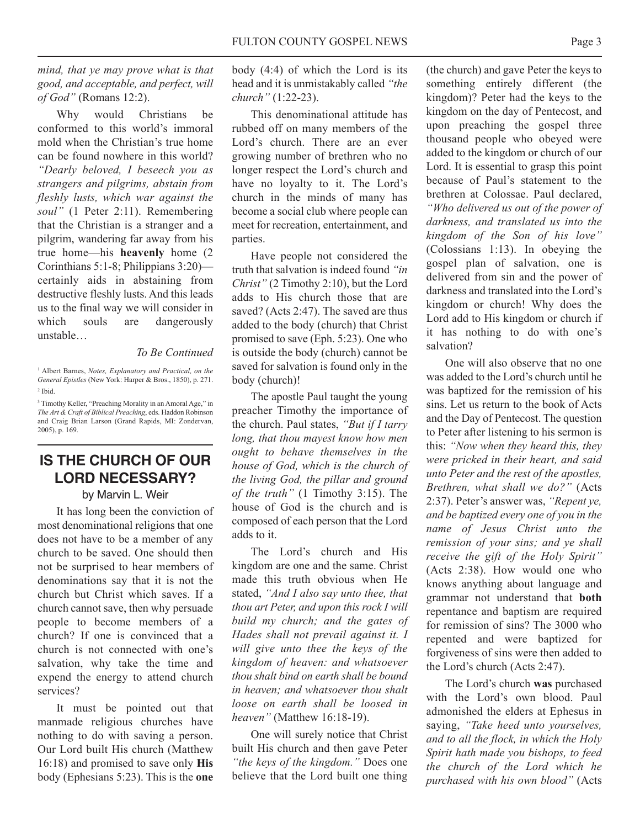*mind, that ye may prove what is that good, and acceptable, and perfect, will of God"* (Romans 12:2).

Why would Christians be conformed to this world's immoral mold when the Christian's true home can be found nowhere in this world? *"Dearly beloved, I beseech you as strangers and pilgrims, abstain from fleshly lusts, which war against the soul"* (1 Peter 2:11). Remembering that the Christian is a stranger and a pilgrim, wandering far away from his true home—his **heavenly** home (2 Corinthians 5:1-8; Philippians 3:20) certainly aids in abstaining from destructive fleshly lusts. And this leads us to the final way we will consider in which souls are dangerously unstable…

#### *To Be Continued*

<sup>1</sup> Albert Barnes, *Notes, Explanatory and Practical, on the General Epistles* (New York: Harper & Bros., 1850), p. 271. <sup>2</sup> Ibid.

<sup>3</sup> Timothy Keller, "Preaching Morality in an Amoral Age," in *The Art & Craft of Biblical Preaching*, eds. Haddon Robinson and Craig Brian Larson (Grand Rapids, MI: Zondervan, 2005), p. 169.

### **IS THE CHURCH OF OUR LORD NECESSARY?**

by Marvin L. Weir

It has long been the conviction of most denominational religions that one does not have to be a member of any church to be saved. One should then not be surprised to hear members of denominations say that it is not the church but Christ which saves. If a church cannot save, then why persuade people to become members of a church? If one is convinced that a church is not connected with one's salvation, why take the time and expend the energy to attend church services?

It must be pointed out that manmade religious churches have nothing to do with saving a person. Our Lord built His church (Matthew 16:18) and promised to save only **His** body (Ephesians 5:23). This is the **one**

body (4:4) of which the Lord is its head and it is unmistakably called *"the church"* (1:22-23).

This denominational attitude has rubbed off on many members of the Lord's church. There are an ever growing number of brethren who no longer respect the Lord's church and have no loyalty to it. The Lord's church in the minds of many has become a social club where people can meet for recreation, entertainment, and parties.

Have people not considered the truth that salvation is indeed found *"in Christ"* (2 Timothy 2:10), but the Lord adds to His church those that are saved? (Acts 2:47). The saved are thus added to the body (church) that Christ promised to save (Eph. 5:23). One who is outside the body (church) cannot be saved for salvation is found only in the body (church)!

The apostle Paul taught the young preacher Timothy the importance of the church. Paul states, *"But if I tarry long, that thou mayest know how men ought to behave themselves in the house of God, which is the church of the living God, the pillar and ground of the truth"* (1 Timothy 3:15). The house of God is the church and is composed of each person that the Lord adds to it.

The Lord's church and His kingdom are one and the same. Christ made this truth obvious when He stated, *"And I also say unto thee, that thou art Peter, and upon this rock I will build my church; and the gates of Hades shall not prevail against it. I will give unto thee the keys of the kingdom of heaven: and whatsoever thou shalt bind on earth shall be bound in heaven; and whatsoever thou shalt loose on earth shall be loosed in heaven"* (Matthew 16:18-19).

One will surely notice that Christ built His church and then gave Peter *"the keys of the kingdom."* Does one believe that the Lord built one thing

(the church) and gave Peter the keys to something entirely different (the kingdom)? Peter had the keys to the kingdom on the day of Pentecost, and upon preaching the gospel three thousand people who obeyed were added to the kingdom or church of our Lord. It is essential to grasp this point because of Paul's statement to the brethren at Colossae. Paul declared, *"Who delivered us out of the power of darkness, and translated us into the kingdom of the Son of his love"* (Colossians 1:13). In obeying the gospel plan of salvation, one is delivered from sin and the power of darkness and translated into the Lord's kingdom or church! Why does the Lord add to His kingdom or church if it has nothing to do with one's salvation?

One will also observe that no one was added to the Lord's church until he was baptized for the remission of his sins. Let us return to the book of Acts and the Day of Pentecost. The question to Peter after listening to his sermon is this: *"Now when they heard this, they were pricked in their heart, and said unto Peter and the rest of the apostles, Brethren, what shall we do?"* (Acts 2:37). Peter's answer was, *"Repent ye, and be baptized every one of you in the name of Jesus Christ unto the remission of your sins; and ye shall receive the gift of the Holy Spirit"* (Acts 2:38). How would one who knows anything about language and grammar not understand that **both** repentance and baptism are required for remission of sins? The 3000 who repented and were baptized for forgiveness of sins were then added to the Lord's church (Acts 2:47).

The Lord's church **was** purchased with the Lord's own blood. Paul admonished the elders at Ephesus in saying, *"Take heed unto yourselves, and to all the flock, in which the Holy Spirit hath made you bishops, to feed the church of the Lord which he purchased with his own blood"* (Acts